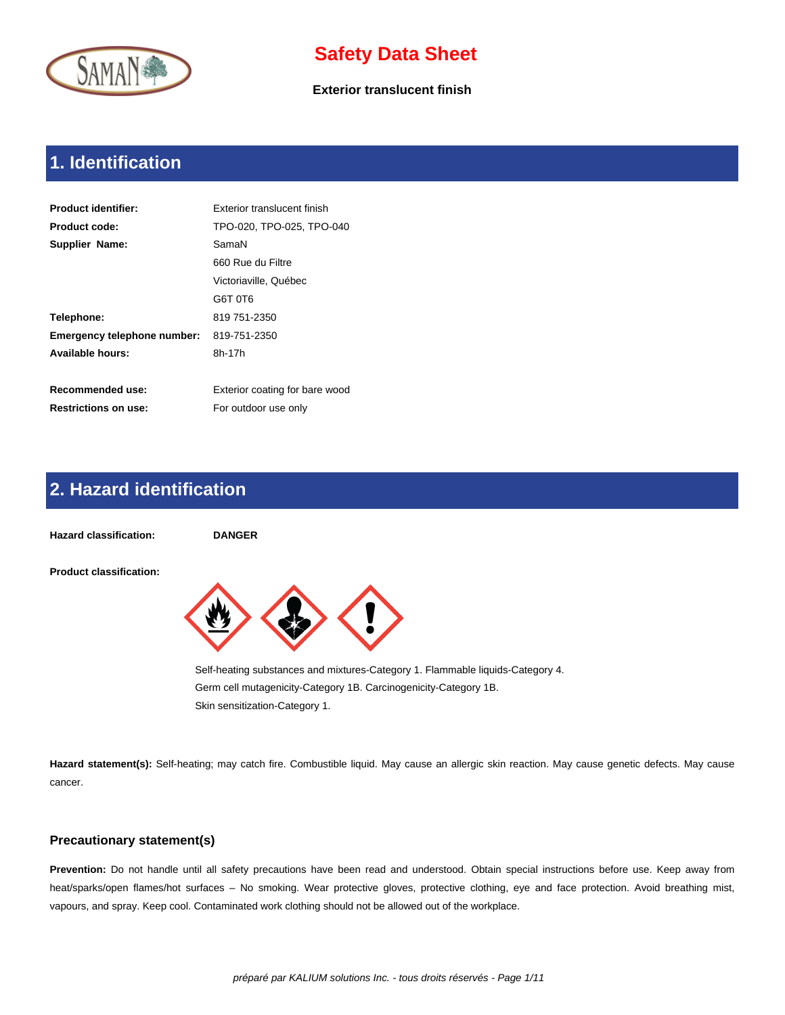

**Exterior translucent finish**

# **1. Identification**

| <b>Product identifier:</b>  | Exterior translucent finish    |
|-----------------------------|--------------------------------|
| <b>Product code:</b>        | TPO-020, TPO-025, TPO-040      |
| <b>Supplier Name:</b>       | SamaN                          |
|                             | 660 Rue du Filtre              |
|                             | Victoriaville. Québec          |
|                             | G6T 0T6                        |
| Telephone:                  | 819 751-2350                   |
| Emergency telephone number: | 819-751-2350                   |
| Available hours:            | 8h-17h                         |
|                             |                                |
| <b>Recommended use:</b>     | Exterior coating for bare wood |
| <b>Restrictions on use:</b> | For outdoor use only           |

## **2. Hazard identification**



**Hazard statement(s):** Self-heating; may catch fire. Combustible liquid. May cause an allergic skin reaction. May cause genetic defects. May cause cancer.

### **Precautionary statement(s)**

**Prevention:** Do not handle until all safety precautions have been read and understood. Obtain special instructions before use. Keep away from heat/sparks/open flames/hot surfaces – No smoking. Wear protective gloves, protective clothing, eye and face protection. Avoid breathing mist, vapours, and spray. Keep cool. Contaminated work clothing should not be allowed out of the workplace.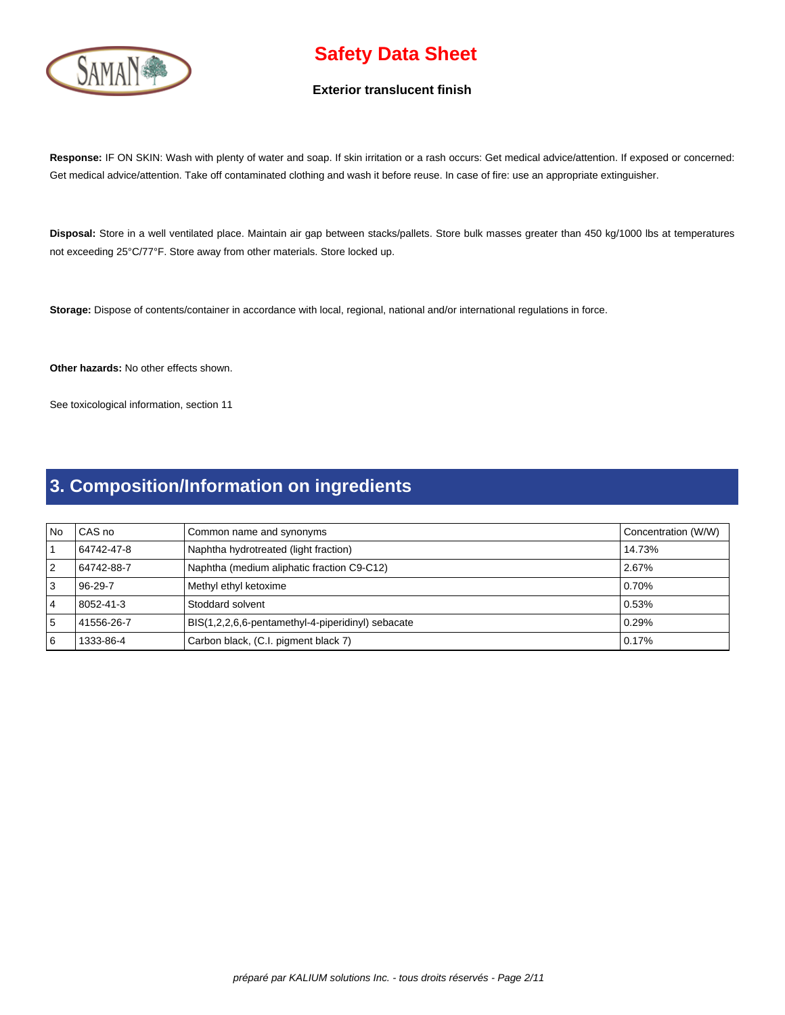

#### **Exterior translucent finish**

**Response:** IF ON SKIN: Wash with plenty of water and soap. If skin irritation or a rash occurs: Get medical advice/attention. If exposed or concerned: Get medical advice/attention. Take off contaminated clothing and wash it before reuse. In case of fire: use an appropriate extinguisher.

**Disposal:** Store in a well ventilated place. Maintain air gap between stacks/pallets. Store bulk masses greater than 450 kg/1000 lbs at temperatures not exceeding 25°C/77°F. Store away from other materials. Store locked up.

**Storage:** Dispose of contents/container in accordance with local, regional, national and/or international regulations in force.

**Other hazards:** No other effects shown.

See toxicological information, section 11

# **3. Composition/Information on ingredients**

| l No | CAS no        | Common name and synonyms                          | Concentration (W/W) |
|------|---------------|---------------------------------------------------|---------------------|
|      | 64742-47-8    | Naphtha hydrotreated (light fraction)             | 14.73%              |
| 12   | 64742-88-7    | Naphtha (medium aliphatic fraction C9-C12)        | 2.67%               |
| l 3  | $96 - 29 - 7$ | Methyl ethyl ketoxime                             | 0.70%               |
| 4    | 8052-41-3     | Stoddard solvent                                  | 0.53%               |
| ا 5  | 41556-26-7    | BIS(1,2,2,6,6-pentamethyl-4-piperidinyl) sebacate | 0.29%               |
| 16   | 1333-86-4     | Carbon black, (C.I. pigment black 7)              | 0.17%               |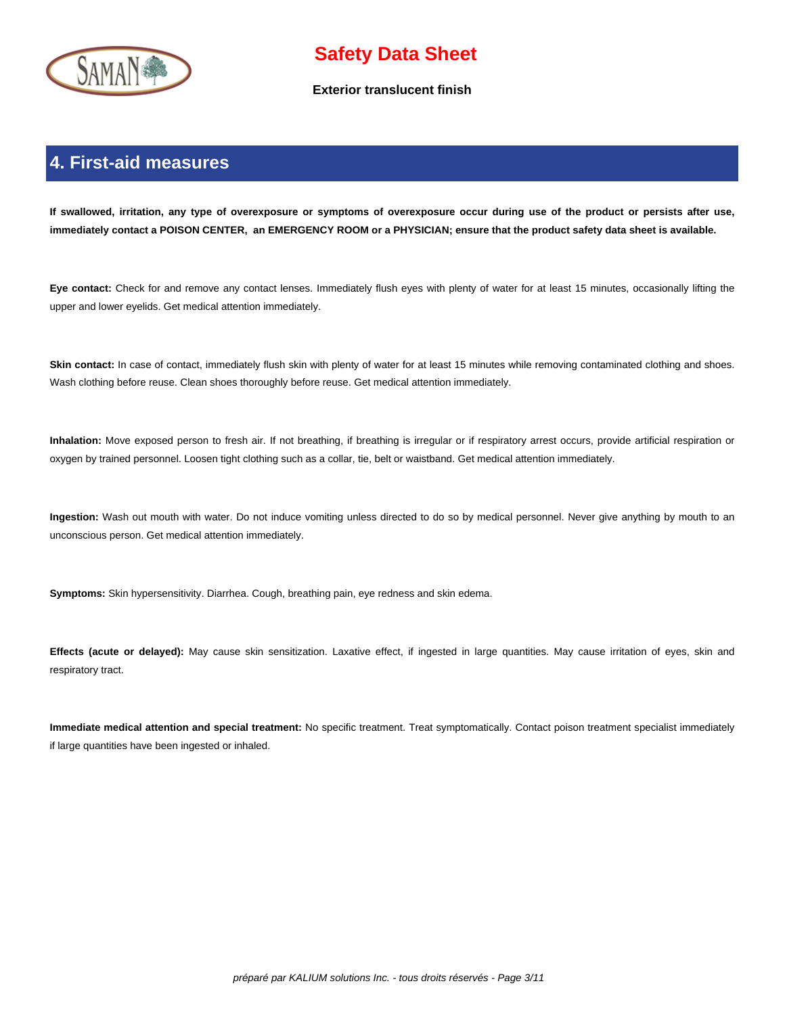

**Exterior translucent finish**

## **4. First-aid measures**

 **If swallowed, irritation, any type of overexposure or symptoms of overexposure occur during use of the product or persists after use, immediately contact a POISON CENTER, an EMERGENCY ROOM or a PHYSICIAN; ensure that the product safety data sheet is available.**

**Eye contact:** Check for and remove any contact lenses. Immediately flush eyes with plenty of water for at least 15 minutes, occasionally lifting the upper and lower eyelids. Get medical attention immediately.

Skin contact: In case of contact, immediately flush skin with plenty of water for at least 15 minutes while removing contaminated clothing and shoes. Wash clothing before reuse. Clean shoes thoroughly before reuse. Get medical attention immediately.

**Inhalation:** Move exposed person to fresh air. If not breathing, if breathing is irregular or if respiratory arrest occurs, provide artificial respiration or oxygen by trained personnel. Loosen tight clothing such as a collar, tie, belt or waistband. Get medical attention immediately.

**Ingestion:** Wash out mouth with water. Do not induce vomiting unless directed to do so by medical personnel. Never give anything by mouth to an unconscious person. Get medical attention immediately.

**Symptoms:** Skin hypersensitivity. Diarrhea. Cough, breathing pain, eye redness and skin edema.

**Effects (acute or delayed):** May cause skin sensitization. Laxative effect, if ingested in large quantities. May cause irritation of eyes, skin and respiratory tract.

**Immediate medical attention and special treatment:** No specific treatment. Treat symptomatically. Contact poison treatment specialist immediately if large quantities have been ingested or inhaled.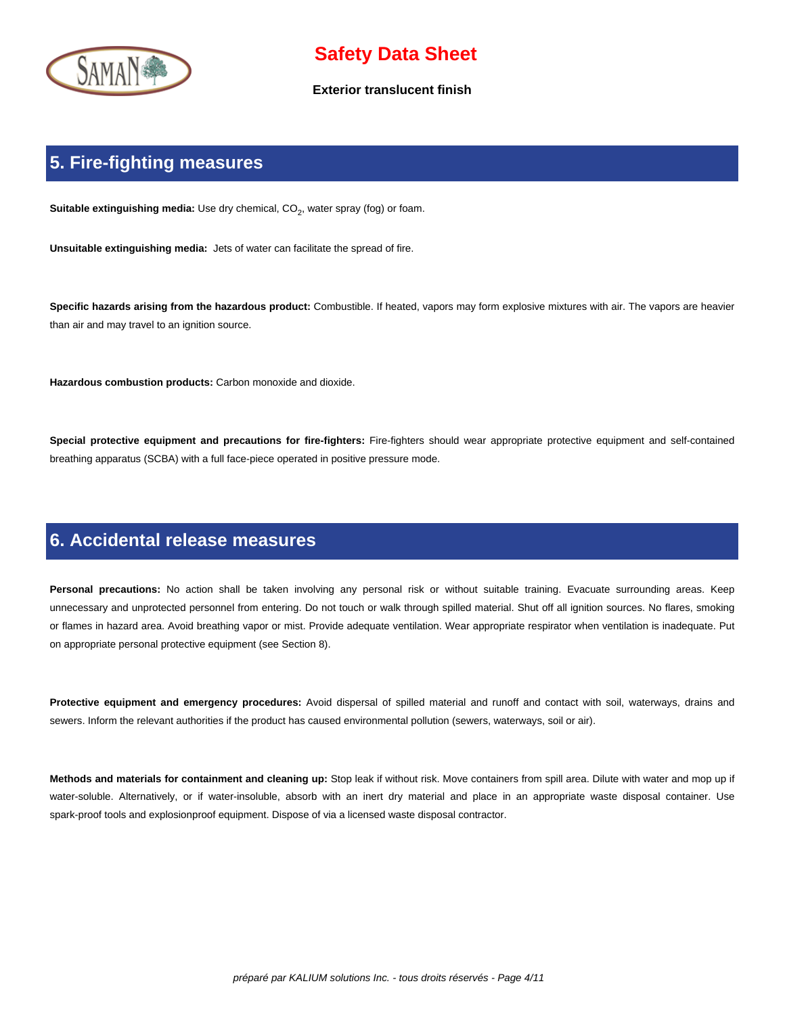

#### **Exterior translucent finish**

### **5. Fire-fighting measures**

**Suitable extinguishing media:** Use dry chemical, CO<sub>2</sub>, water spray (fog) or foam.

**Unsuitable extinguishing media:** Jets of water can facilitate the spread of fire.

**Specific hazards arising from the hazardous product:** Combustible. If heated, vapors may form explosive mixtures with air. The vapors are heavier than air and may travel to an ignition source.

**Hazardous combustion products:** Carbon monoxide and dioxide.

**Special protective equipment and precautions for fire-fighters:** Fire-fighters should wear appropriate protective equipment and self-contained breathing apparatus (SCBA) with a full face-piece operated in positive pressure mode.

### **6. Accidental release measures**

Personal precautions: No action shall be taken involving any personal risk or without suitable training. Evacuate surrounding areas. Keep unnecessary and unprotected personnel from entering. Do not touch or walk through spilled material. Shut off all ignition sources. No flares, smoking or flames in hazard area. Avoid breathing vapor or mist. Provide adequate ventilation. Wear appropriate respirator when ventilation is inadequate. Put on appropriate personal protective equipment (see Section 8).

**Protective equipment and emergency procedures:** Avoid dispersal of spilled material and runoff and contact with soil, waterways, drains and sewers. Inform the relevant authorities if the product has caused environmental pollution (sewers, waterways, soil or air).

**Methods and materials for containment and cleaning up:** Stop leak if without risk. Move containers from spill area. Dilute with water and mop up if water-soluble. Alternatively, or if water-insoluble, absorb with an inert dry material and place in an appropriate waste disposal container. Use spark-proof tools and explosionproof equipment. Dispose of via a licensed waste disposal contractor.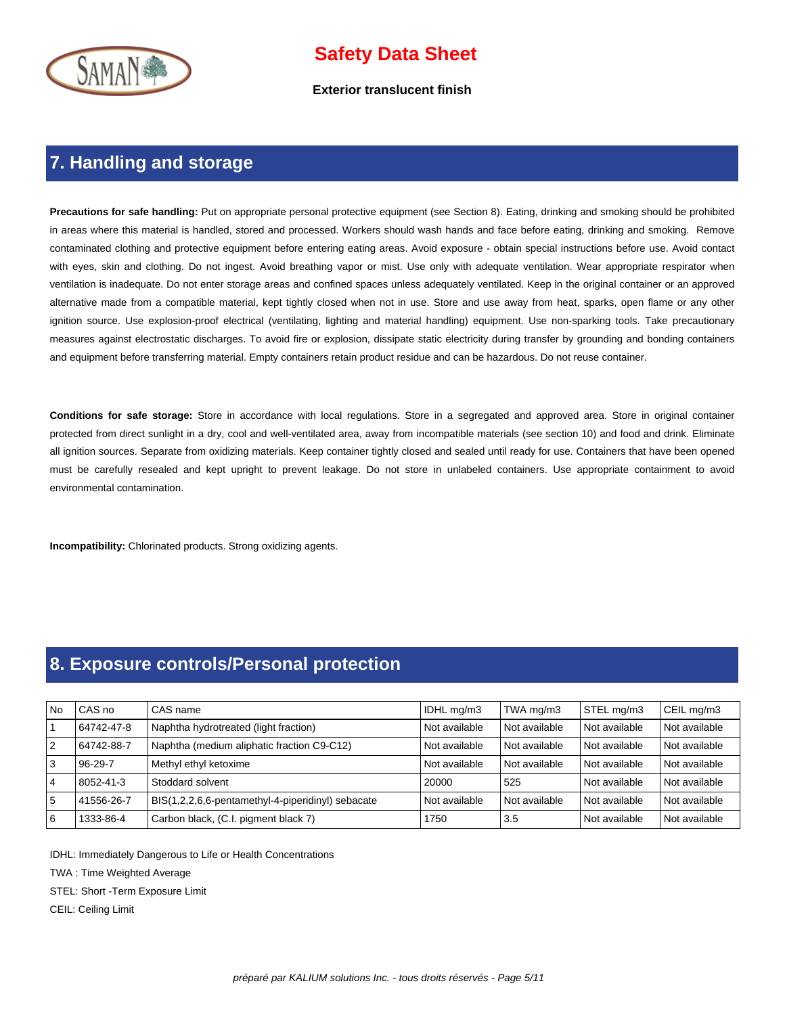

**Exterior translucent finish**

### **7. Handling and storage**

**Precautions for safe handling:** Put on appropriate personal protective equipment (see Section 8). Eating, drinking and smoking should be prohibited in areas where this material is handled, stored and processed. Workers should wash hands and face before eating, drinking and smoking. Remove contaminated clothing and protective equipment before entering eating areas. Avoid exposure - obtain special instructions before use. Avoid contact with eyes, skin and clothing. Do not ingest. Avoid breathing vapor or mist. Use only with adequate ventilation. Wear appropriate respirator when ventilation is inadequate. Do not enter storage areas and confined spaces unless adequately ventilated. Keep in the original container or an approved alternative made from a compatible material, kept tightly closed when not in use. Store and use away from heat, sparks, open flame or any other ignition source. Use explosion-proof electrical (ventilating, lighting and material handling) equipment. Use non-sparking tools. Take precautionary measures against electrostatic discharges. To avoid fire or explosion, dissipate static electricity during transfer by grounding and bonding containers and equipment before transferring material. Empty containers retain product residue and can be hazardous. Do not reuse container.

**Conditions for safe storage:** Store in accordance with local regulations. Store in a segregated and approved area. Store in original container protected from direct sunlight in a dry, cool and well-ventilated area, away from incompatible materials (see section 10) and food and drink. Eliminate all ignition sources. Separate from oxidizing materials. Keep container tightly closed and sealed until ready for use. Containers that have been opened must be carefully resealed and kept upright to prevent leakage. Do not store in unlabeled containers. Use appropriate containment to avoid environmental contamination.

**Incompatibility:** Chlorinated products. Strong oxidizing agents.

### **8. Exposure controls/Personal protection**

| <b>No</b>      | CAS no        | i CAS name                                        | IDHL mg/m3    | TWA mg/m3     | STEL mg/m3    | CEIL mg/m3      |
|----------------|---------------|---------------------------------------------------|---------------|---------------|---------------|-----------------|
|                | 64742-47-8    | Naphtha hydrotreated (light fraction)             | Not available | Not available | Not available | Not available   |
| 2              | 64742-88-7    | Naphtha (medium aliphatic fraction C9-C12)        | Not available | Not available | Not available | Not available   |
| 3              | $96 - 29 - 7$ | Methyl ethyl ketoxime                             | Not available | Not available | Not available | l Not available |
| $\overline{4}$ | 8052-41-3     | Stoddard solvent                                  | 20000         | 525           | Not available | l Not available |
| 5              | 41556-26-7    | BIS(1,2,2,6,6-pentamethyl-4-piperidinyl) sebacate | Not available | Not available | Not available | Not available   |
| 16             | 1333-86-4     | Carbon black, (C.I. pigment black 7)              | 1750          | 3.5           | Not available | l Not available |

IDHL: Immediately Dangerous to Life or Health Concentrations

TWA : Time Weighted Average

STEL: Short -Term Exposure Limit

CEIL: Ceiling Limit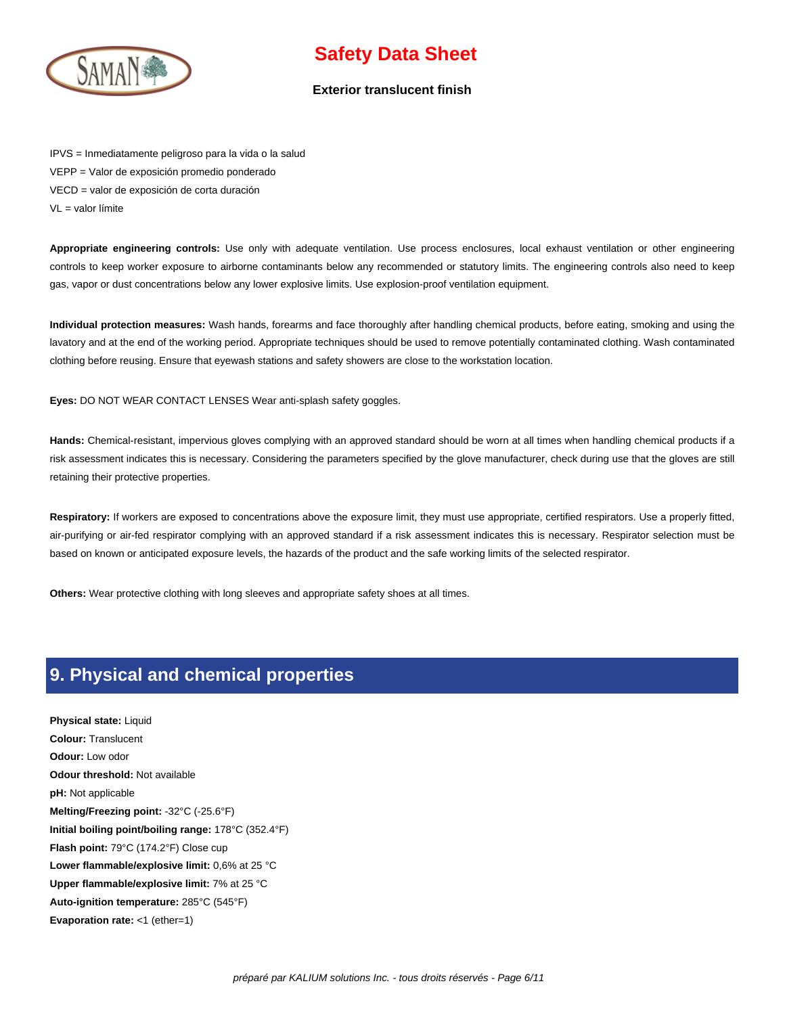

#### **Exterior translucent finish**

IPVS = Inmediatamente peligroso para la vida o la salud VEPP = Valor de exposición promedio ponderado VECD = valor de exposición de corta duración VL = valor límite

**Appropriate engineering controls:** Use only with adequate ventilation. Use process enclosures, local exhaust ventilation or other engineering controls to keep worker exposure to airborne contaminants below any recommended or statutory limits. The engineering controls also need to keep gas, vapor or dust concentrations below any lower explosive limits. Use explosion-proof ventilation equipment.

**Individual protection measures:** Wash hands, forearms and face thoroughly after handling chemical products, before eating, smoking and using the lavatory and at the end of the working period. Appropriate techniques should be used to remove potentially contaminated clothing. Wash contaminated clothing before reusing. Ensure that eyewash stations and safety showers are close to the workstation location.

**Eyes:** DO NOT WEAR CONTACT LENSES Wear anti-splash safety goggles.

**Hands:** Chemical-resistant, impervious gloves complying with an approved standard should be worn at all times when handling chemical products if a risk assessment indicates this is necessary. Considering the parameters specified by the glove manufacturer, check during use that the gloves are still retaining their protective properties.

Respiratory: If workers are exposed to concentrations above the exposure limit, they must use appropriate, certified respirators. Use a properly fitted, air-purifying or air-fed respirator complying with an approved standard if a risk assessment indicates this is necessary. Respirator selection must be based on known or anticipated exposure levels, the hazards of the product and the safe working limits of the selected respirator.

**Others:** Wear protective clothing with long sleeves and appropriate safety shoes at all times.

### **9. Physical and chemical properties**

**Physical state:** Liquid **Colour:** Translucent **Odour:** Low odor **Odour threshold:** Not available **pH:** Not applicable **Melting/Freezing point:** -32°C (-25.6°F) **Initial boiling point/boiling range:** 178°C (352.4°F) **Flash point:** 79°C (174.2°F) Close cup **Lower flammable/explosive limit:** 0,6% at 25 °C **Upper flammable/explosive limit:** 7% at 25 °C **Auto-ignition temperature:** 285°C (545°F) **Evaporation rate:** <1 (ether=1)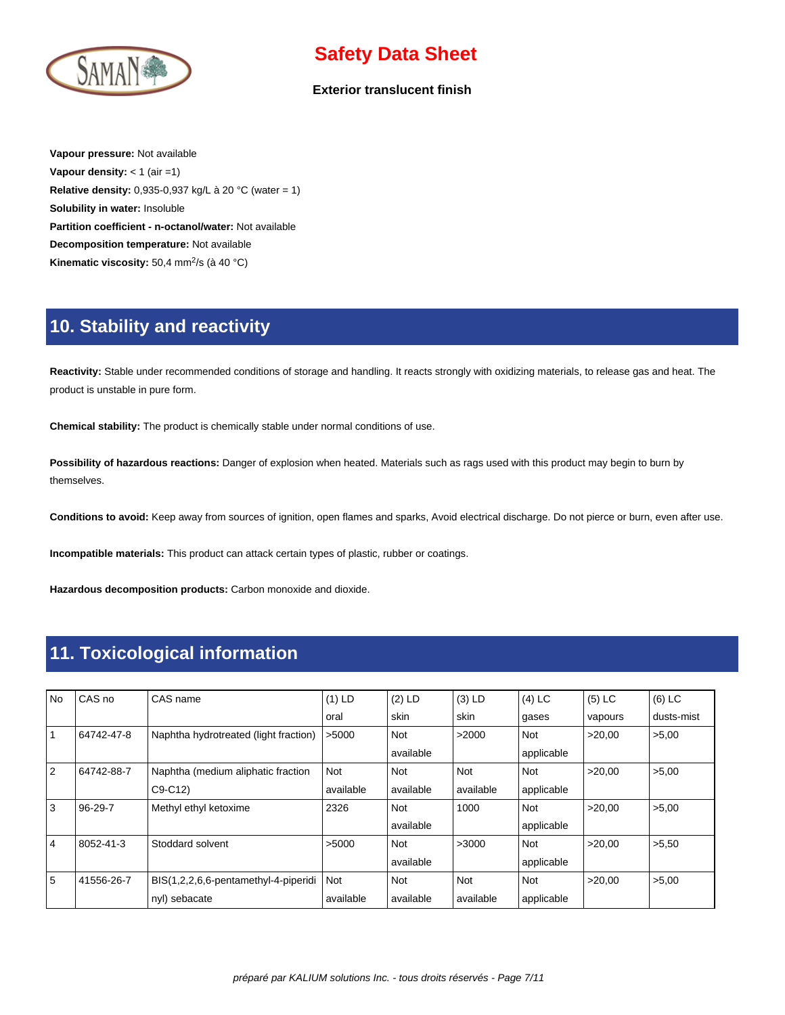

#### **Exterior translucent finish**

**Vapour pressure:** Not available **Vapour density:** < 1 (air =1) **Relative density:** 0,935-0,937 kg/L à 20 °C (water = 1) **Solubility in water:** Insoluble **Partition coefficient - n-octanol/water:** Not available **Decomposition temperature:** Not available Kinematic viscosity: 50,4 mm<sup>2</sup>/s (à 40 °C)

### **10. Stability and reactivity**

**Reactivity:** Stable under recommended conditions of storage and handling. It reacts strongly with oxidizing materials, to release gas and heat. The product is unstable in pure form.

**Chemical stability:** The product is chemically stable under normal conditions of use.

**Possibility of hazardous reactions:** Danger of explosion when heated. Materials such as rags used with this product may begin to burn by themselves.

**Conditions to avoid:** Keep away from sources of ignition, open flames and sparks, Avoid electrical discharge. Do not pierce or burn, even after use.

**Incompatible materials:** This product can attack certain types of plastic, rubber or coatings.

**Hazardous decomposition products:** Carbon monoxide and dioxide.

### **11. Toxicological information**

| <b>No</b> | CAS no        | CAS name                              | $(1)$ LD  | $(2)$ LD   | $(3)$ LD   | $(4)$ LC   | $(5)$ LC | $(6)$ LC   |
|-----------|---------------|---------------------------------------|-----------|------------|------------|------------|----------|------------|
|           |               |                                       | oral      | skin       | skin       | gases      | vapours  | dusts-mist |
|           | 64742-47-8    | Naphtha hydrotreated (light fraction) | >5000     | Not        | >2000      | Not        | >20.00   | >5,00      |
|           |               |                                       |           | available  |            | applicable |          |            |
| 2         | 64742-88-7    | Naphtha (medium aliphatic fraction    | Not       | <b>Not</b> | <b>Not</b> | Not        | >20.00   | >5,00      |
|           |               | $C9-C12$                              | available | available  | available  | applicable |          |            |
| 3         | $96 - 29 - 7$ | Methyl ethyl ketoxime                 | 2326      | Not        | 1000       | Not        | >20,00   | >5,00      |
|           |               |                                       |           | available  |            | applicable |          |            |
| 4         | 8052-41-3     | Stoddard solvent                      | >5000     | Not        | >3000      | Not        | >20.00   | >5,50      |
|           |               |                                       |           | available  |            | applicable |          |            |
| 5         | 41556-26-7    | BIS(1,2,2,6,6-pentamethyl-4-piperidi  | Not       | Not        | Not        | Not        | >20.00   | >5,00      |
|           |               | nyl) sebacate                         | available | available  | available  | applicable |          |            |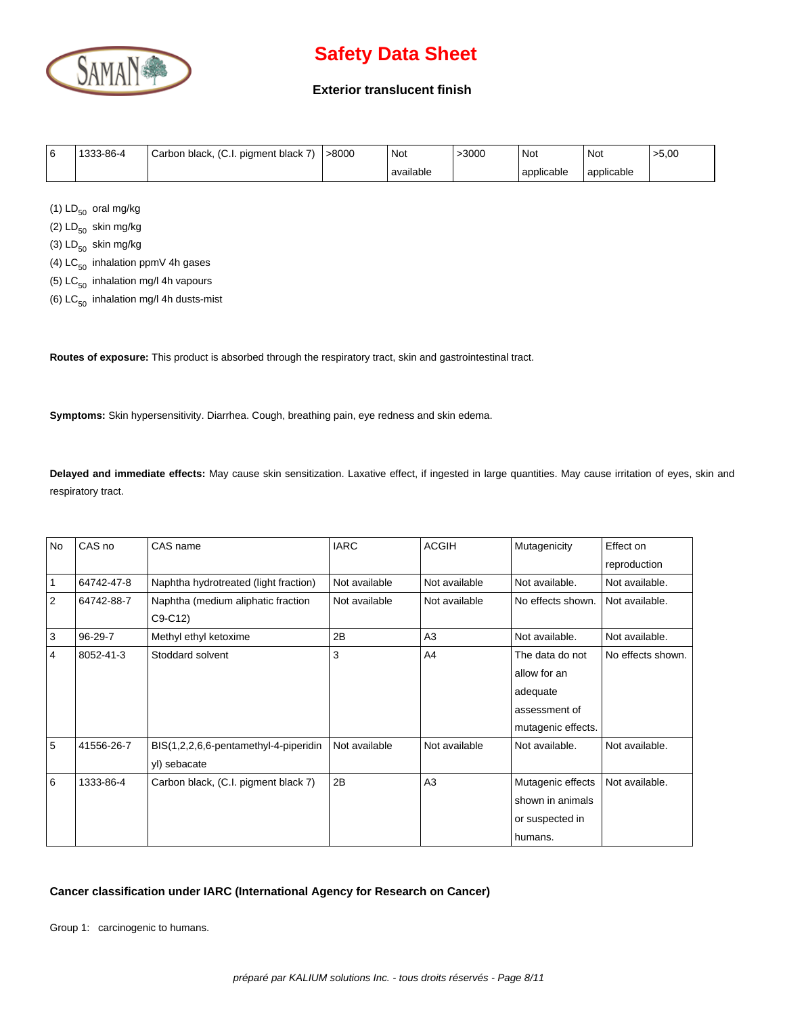

#### **Exterior translucent finish**

| l 6 | 1333-86-4 | Carbon black, (C.I. pigment black 7) | $\degree$ >8000 | Not       | >3000 | ' Not      | ' Not        | >5,00 |
|-----|-----------|--------------------------------------|-----------------|-----------|-------|------------|--------------|-------|
|     |           |                                      |                 | available |       | applicable | l applicable |       |

(1)  $LD_{50}$  oral mg/kg

(2)  $LD_{50}$  skin mg/kg

(3)  $LD_{50}$  skin mg/kg

(4)  $LC_{50}$  inhalation ppmV 4h gases

(5)  $LC_{50}$  inhalation mg/l 4h vapours

(6)  $LC_{50}$  inhalation mg/l 4h dusts-mist

**Routes of exposure:** This product is absorbed through the respiratory tract, skin and gastrointestinal tract.

**Symptoms:** Skin hypersensitivity. Diarrhea. Cough, breathing pain, eye redness and skin edema.

**Delayed and immediate effects:** May cause skin sensitization. Laxative effect, if ingested in large quantities. May cause irritation of eyes, skin and respiratory tract.

| No             | CAS no     | CAS name                              | <b>IARC</b>   | <b>ACGIH</b>  | Mutagenicity       | Effect on         |
|----------------|------------|---------------------------------------|---------------|---------------|--------------------|-------------------|
|                |            |                                       |               |               |                    | reproduction      |
|                | 64742-47-8 | Naphtha hydrotreated (light fraction) | Not available | Not available | Not available.     | Not available.    |
| 2              | 64742-88-7 | Naphtha (medium aliphatic fraction    | Not available | Not available | No effects shown.  | Not available.    |
|                |            | $C9-C12$                              |               |               |                    |                   |
| 3              | 96-29-7    | Methyl ethyl ketoxime                 | 2B            | A3            | Not available.     | Not available.    |
| $\overline{4}$ | 8052-41-3  | Stoddard solvent                      | 3             | A4            | The data do not    | No effects shown. |
|                |            |                                       |               |               | allow for an       |                   |
|                |            |                                       |               |               | adequate           |                   |
|                |            |                                       |               |               | assessment of      |                   |
|                |            |                                       |               |               | mutagenic effects. |                   |
| 5              | 41556-26-7 | BIS(1,2,2,6,6-pentamethyl-4-piperidin | Not available | Not available | Not available.     | Not available.    |
|                |            | yl) sebacate                          |               |               |                    |                   |
| 6              | 1333-86-4  | Carbon black, (C.I. pigment black 7)  | 2B            | A3            | Mutagenic effects  | Not available.    |
|                |            |                                       |               |               | shown in animals   |                   |
|                |            |                                       |               |               | or suspected in    |                   |
|                |            |                                       |               |               | humans.            |                   |

#### **Cancer classification under IARC (International Agency for Research on Cancer)**

Group 1: carcinogenic to humans.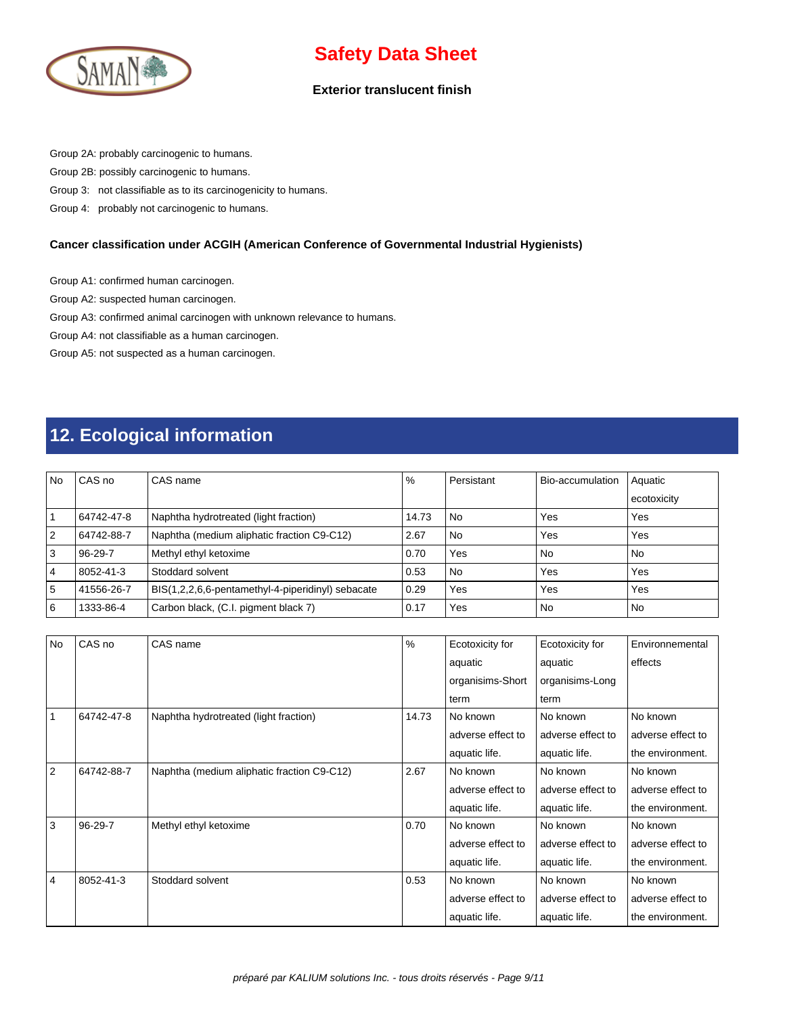

#### **Exterior translucent finish**

Group 2A: probably carcinogenic to humans.

Group 2B: possibly carcinogenic to humans.

Group 3: not classifiable as to its carcinogenicity to humans.

Group 4: probably not carcinogenic to humans.

#### **Cancer classification under ACGIH (American Conference of Governmental Industrial Hygienists)**

Group A1: confirmed human carcinogen.

Group A2: suspected human carcinogen.

Group A3: confirmed animal carcinogen with unknown relevance to humans.

Group A4: not classifiable as a human carcinogen.

Group A5: not suspected as a human carcinogen.

## **12. Ecological information**

| <b>No</b>      | CAS no        | CAS name                                          | $\%$  | Persistant | Bio-accumulation | Aquatic     |
|----------------|---------------|---------------------------------------------------|-------|------------|------------------|-------------|
|                |               |                                                   |       |            |                  | ecotoxicity |
|                | 64742-47-8    | Naphtha hydrotreated (light fraction)             | 14.73 | l No       | Yes              | Yes         |
| 2              | 64742-88-7    | Naphtha (medium aliphatic fraction C9-C12)        | 2.67  | l No       | Yes              | Yes         |
| 3              | $96 - 29 - 7$ | Methyl ethyl ketoxime                             | 0.70  | Yes        | <b>No</b>        | No.         |
| $\overline{4}$ | 8052-41-3     | Stoddard solvent                                  | 0.53  | l No       | Yes              | Yes         |
| 5              | 41556-26-7    | BIS(1,2,2,6,6-pentamethyl-4-piperidinyl) sebacate | 0.29  | Yes        | Yes              | Yes         |
| 6              | 1333-86-4     | Carbon black, (C.I. pigment black 7)              | 0.17  | Yes        | No               | <b>No</b>   |

| <b>No</b> | CAS no        | CAS name                                   | $\%$  | Ecotoxicity for   | Ecotoxicity for   | Environnemental   |
|-----------|---------------|--------------------------------------------|-------|-------------------|-------------------|-------------------|
|           |               |                                            |       | aquatic           | aquatic           | effects           |
|           |               |                                            |       | organisims-Short  | organisims-Long   |                   |
|           |               |                                            |       | term              | term              |                   |
|           | 64742-47-8    | Naphtha hydrotreated (light fraction)      | 14.73 | No known          | No known          | No known          |
|           |               |                                            |       | adverse effect to | adverse effect to | adverse effect to |
|           |               |                                            |       | aquatic life.     | aquatic life.     | the environment.  |
| 2         | 64742-88-7    | Naphtha (medium aliphatic fraction C9-C12) | 2.67  | No known          | No known          | No known          |
|           |               |                                            |       | adverse effect to | adverse effect to | adverse effect to |
|           |               |                                            |       | aquatic life.     | aquatic life.     | the environment.  |
| 3         | $96 - 29 - 7$ | Methyl ethyl ketoxime                      | 0.70  | No known          | No known          | No known          |
|           |               |                                            |       | adverse effect to | adverse effect to | adverse effect to |
|           |               |                                            |       | aquatic life.     | aquatic life.     | the environment.  |
| 4         | 8052-41-3     | Stoddard solvent                           | 0.53  | No known          | No known          | No known          |
|           |               |                                            |       | adverse effect to | adverse effect to | adverse effect to |
|           |               |                                            |       | aquatic life.     | aquatic life.     | the environment.  |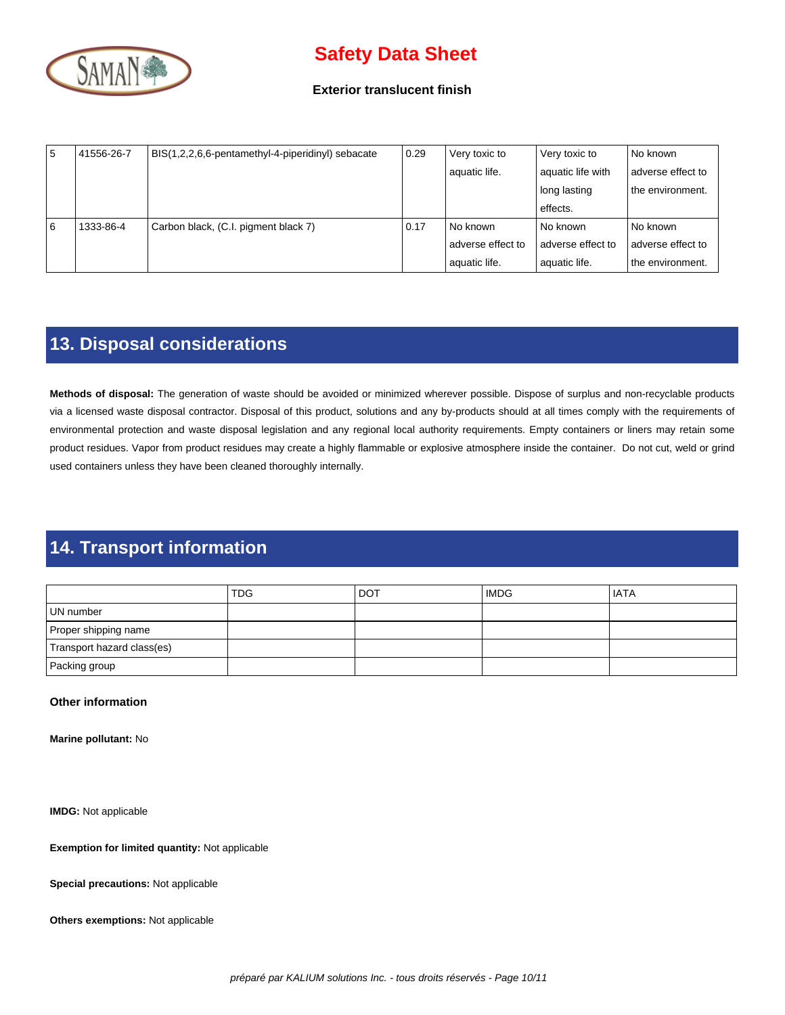

#### **Exterior translucent finish**

| 15 | 41556-26-7 | BIS(1,2,2,6,6-pentamethyl-4-piperidinyl) sebacate | 0.29 | Very toxic to     | Very toxic to     | No known          |
|----|------------|---------------------------------------------------|------|-------------------|-------------------|-------------------|
|    |            |                                                   |      | aquatic life.     | aquatic life with | adverse effect to |
|    |            |                                                   |      |                   | l long lasting    | the environment.  |
|    |            |                                                   |      |                   | effects.          |                   |
| 16 | 1333-86-4  | Carbon black, (C.I. pigment black 7)              | 0.17 | No known          | l No known        | No known          |
|    |            |                                                   |      | adverse effect to | adverse effect to | adverse effect to |
|    |            |                                                   |      | aquatic life.     | aquatic life.     | the environment.  |

## **13. Disposal considerations**

**Methods of disposal:** The generation of waste should be avoided or minimized wherever possible. Dispose of surplus and non-recyclable products via a licensed waste disposal contractor. Disposal of this product, solutions and any by-products should at all times comply with the requirements of environmental protection and waste disposal legislation and any regional local authority requirements. Empty containers or liners may retain some product residues. Vapor from product residues may create a highly flammable or explosive atmosphere inside the container. Do not cut, weld or grind used containers unless they have been cleaned thoroughly internally.

# **14. Transport information**

|                            | <b>TDG</b> | l dot | <b>IMDG</b> | <b>IATA</b> |
|----------------------------|------------|-------|-------------|-------------|
| UN number                  |            |       |             |             |
| Proper shipping name       |            |       |             |             |
| Transport hazard class(es) |            |       |             |             |
| Packing group              |            |       |             |             |

#### **Other information**

**Marine pollutant:** No

**IMDG:** Not applicable

**Exemption for limited quantity:** Not applicable

**Special precautions:** Not applicable

**Others exemptions:** Not applicable